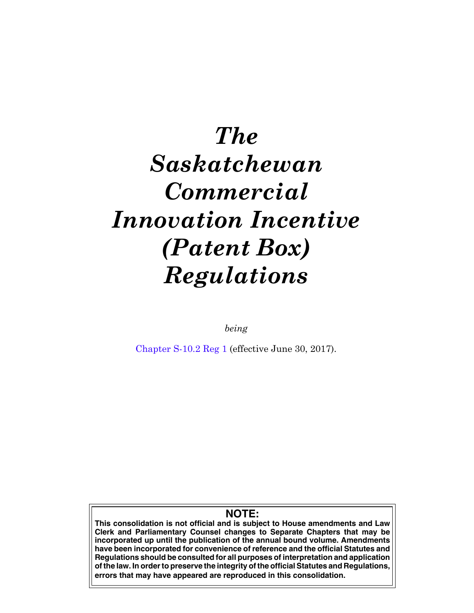# *The Saskatchewan Commercial Innovation Incentive (Patent Box) Regulations*

*being*

[Chapter S-10.2 Reg 1](https://publications.saskatchewan.ca:443/api/v1/products/86304/formats/99878/download) (effective June 30, 2017).

## **NOTE:**

**This consolidation is not official and is subject to House amendments and Law Clerk and Parliamentary Counsel changes to Separate Chapters that may be incorporated up until the publication of the annual bound volume. Amendments have been incorporated for convenience of reference and the official Statutes and Regulations should be consulted for all purposes of interpretation and application of the law. In order to preserve the integrity of the official Statutes and Regulations, errors that may have appeared are reproduced in this consolidation.**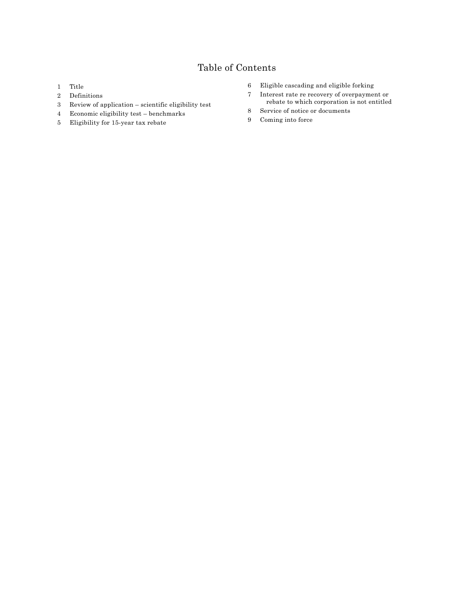## Table of Contents

- [Title](#page-2-0)
- [Definitions](#page-2-0)
- [Review of application scientific eligibility test](#page-3-0)
- [Economic eligibility test benchmarks](#page-3-0)
- [Eligibility for 15-year tax rebate](#page-5-0)
- [Eligible cascading and eligible forking](#page-5-0)
- [Interest rate re recovery of overpayment or](#page-6-0) [rebate to which corporation is not entitled](#page-6-0)
- [Service of notice or documents](#page-7-0)
- [Coming into force](#page-7-0)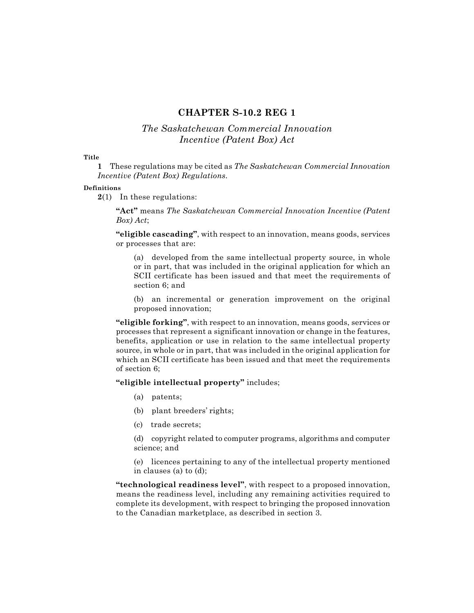## **CHAPTER S‑10.2 REG 1**

## *The Saskatchewan Commercial Innovation Incentive (Patent Box) Act*

#### <span id="page-2-0"></span>**Title**

**1** These regulations may be cited as *The Saskatchewan Commercial Innovation Incentive (Patent Box) Regulations.*

#### **Definitions**

**2**(1) In these regulations:

**"Act"** means *The Saskatchewan Commercial Innovation Incentive (Patent Box) Act*;

**"eligible cascading"**, with respect to an innovation, means goods, services or processes that are:

(a) developed from the same intellectual property source, in whole or in part, that was included in the original application for which an SCII certificate has been issued and that meet the requirements of section 6; and

(b) an incremental or generation improvement on the original proposed innovation;

**"eligible forking"**, with respect to an innovation, means goods, services or processes that represent a significant innovation or change in the features, benefits, application or use in relation to the same intellectual property source, in whole or in part, that was included in the original application for which an SCII certificate has been issued and that meet the requirements of section 6;

### **"eligible intellectual property"** includes;

- (a) patents;
- (b) plant breeders' rights;
- (c) trade secrets;

(d) copyright related to computer programs, algorithms and computer science; and

(e) licences pertaining to any of the intellectual property mentioned in clauses (a) to (d);

**"technological readiness level"**, with respect to a proposed innovation, means the readiness level, including any remaining activities required to complete its development, with respect to bringing the proposed innovation to the Canadian marketplace, as described in section 3.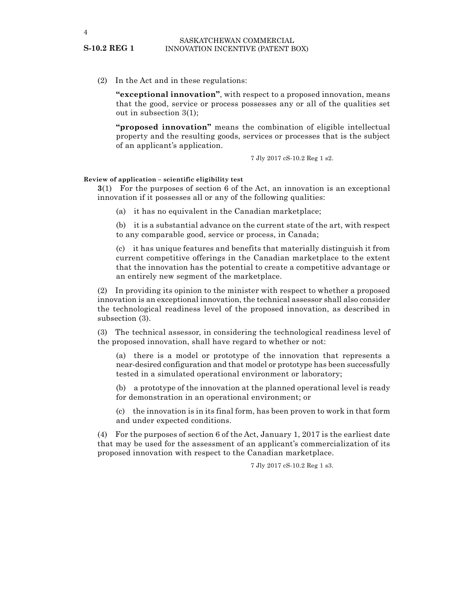(2) In the Act and in these regulations:

**"exceptional innovation"**, with respect to a proposed innovation, means that the good, service or process possesses any or all of the qualities set out in subsection 3(1);

**"proposed innovation"** means the combination of eligible intellectual property and the resulting goods, services or processes that is the subject of an applicant's application.

7 Jly 2017 cS-10.2 Reg 1 s2.

#### **Review of application – scientific eligibility test**

**3**(1) For the purposes of section 6 of the Act, an innovation is an exceptional innovation if it possesses all or any of the following qualities:

(a) it has no equivalent in the Canadian marketplace;

(b) it is a substantial advance on the current state of the art, with respect to any comparable good, service or process, in Canada;

(c) it has unique features and benefits that materially distinguish it from current competitive offerings in the Canadian marketplace to the extent that the innovation has the potential to create a competitive advantage or an entirely new segment of the marketplace.

(2) In providing its opinion to the minister with respect to whether a proposed innovation is an exceptional innovation, the technical assessor shall also consider the technological readiness level of the proposed innovation, as described in subsection (3).

(3) The technical assessor, in considering the technological readiness level of the proposed innovation, shall have regard to whether or not:

(a) there is a model or prototype of the innovation that represents a near-desired configuration and that model or prototype has been successfully tested in a simulated operational environment or laboratory;

(b) a prototype of the innovation at the planned operational level is ready for demonstration in an operational environment; or

(c) the innovation is in its final form, has been proven to work in that form and under expected conditions.

(4) For the purposes of section 6 of the Act, January 1, 2017 is the earliest date that may be used for the assessment of an applicant's commercialization of its proposed innovation with respect to the Canadian marketplace.

7 Jly 2017 cS-10.2 Reg 1 s3.

<span id="page-3-0"></span>**S-10.2 REG 1**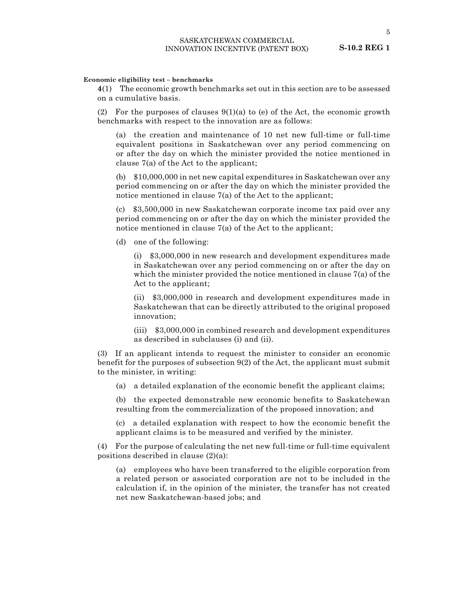#### **Economic eligibility test – benchmarks**

**4**(1) The economic growth benchmarks set out in this section are to be assessed on a cumulative basis.

(2) For the purposes of clauses  $9(1)(a)$  to (e) of the Act, the economic growth benchmarks with respect to the innovation are as follows:

(a) the creation and maintenance of 10 net new full-time or full-time equivalent positions in Saskatchewan over any period commencing on or after the day on which the minister provided the notice mentioned in clause 7(a) of the Act to the applicant;

(b) \$10,000,000 in net new capital expenditures in Saskatchewan over any period commencing on or after the day on which the minister provided the notice mentioned in clause 7(a) of the Act to the applicant;

(c) \$3,500,000 in new Saskatchewan corporate income tax paid over any period commencing on or after the day on which the minister provided the notice mentioned in clause 7(a) of the Act to the applicant;

(d) one of the following:

(i) \$3,000,000 in new research and development expenditures made in Saskatchewan over any period commencing on or after the day on which the minister provided the notice mentioned in clause 7(a) of the Act to the applicant;

(ii) \$3,000,000 in research and development expenditures made in Saskatchewan that can be directly attributed to the original proposed innovation;

(iii) \$3,000,000 in combined research and development expenditures as described in subclauses (i) and (ii).

(3) If an applicant intends to request the minister to consider an economic benefit for the purposes of subsection 9(2) of the Act, the applicant must submit to the minister, in writing:

(a) a detailed explanation of the economic benefit the applicant claims;

(b) the expected demonstrable new economic benefits to Saskatchewan resulting from the commercialization of the proposed innovation; and

(c) a detailed explanation with respect to how the economic benefit the applicant claims is to be measured and verified by the minister.

(4) For the purpose of calculating the net new full-time or full-time equivalent positions described in clause (2)(a):

(a) employees who have been transferred to the eligible corporation from a related person or associated corporation are not to be included in the calculation if, in the opinion of the minister, the transfer has not created net new Saskatchewan-based jobs; and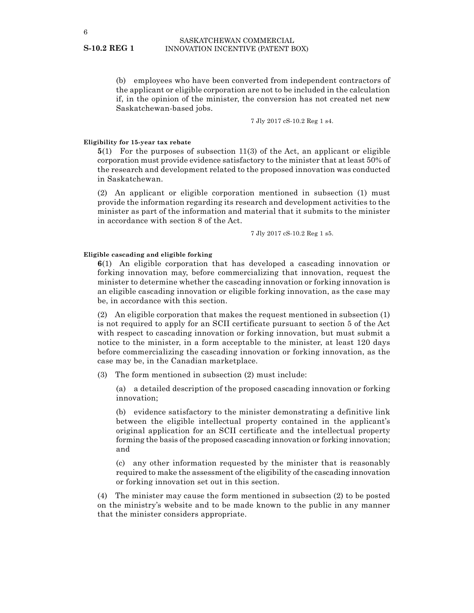(b) employees who have been converted from independent contractors of the applicant or eligible corporation are not to be included in the calculation if, in the opinion of the minister, the conversion has not created net new Saskatchewan-based jobs.

7 Jly 2017 cS-10.2 Reg 1 s4.

#### **Eligibility for 15‑year tax rebate**

**5**(1) For the purposes of subsection 11(3) of the Act, an applicant or eligible corporation must provide evidence satisfactory to the minister that at least 50% of the research and development related to the proposed innovation was conducted in Saskatchewan.

(2) An applicant or eligible corporation mentioned in subsection (1) must provide the information regarding its research and development activities to the minister as part of the information and material that it submits to the minister in accordance with section 8 of the Act.

7 Jly 2017 cS-10.2 Reg 1 s5.

#### **Eligible cascading and eligible forking**

**6**(1) An eligible corporation that has developed a cascading innovation or forking innovation may, before commercializing that innovation, request the minister to determine whether the cascading innovation or forking innovation is an eligible cascading innovation or eligible forking innovation, as the case may be, in accordance with this section.

(2) An eligible corporation that makes the request mentioned in subsection (1) is not required to apply for an SCII certificate pursuant to section 5 of the Act with respect to cascading innovation or forking innovation, but must submit a notice to the minister, in a form acceptable to the minister, at least 120 days before commercializing the cascading innovation or forking innovation, as the case may be, in the Canadian marketplace.

(3) The form mentioned in subsection (2) must include:

(a) a detailed description of the proposed cascading innovation or forking innovation;

(b) evidence satisfactory to the minister demonstrating a definitive link between the eligible intellectual property contained in the applicant's original application for an SCII certificate and the intellectual property forming the basis of the proposed cascading innovation or forking innovation; and

(c) any other information requested by the minister that is reasonably required to make the assessment of the eligibility of the cascading innovation or forking innovation set out in this section.

(4) The minister may cause the form mentioned in subsection (2) to be posted on the ministry's website and to be made known to the public in any manner that the minister considers appropriate.

#### <span id="page-5-0"></span>**S-10.2 REG 1**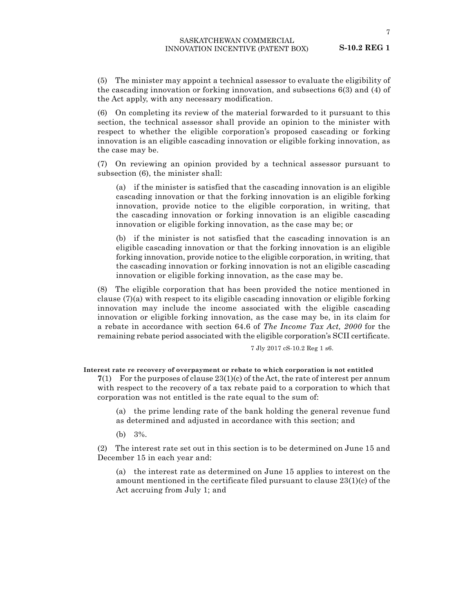<span id="page-6-0"></span>(5) The minister may appoint a technical assessor to evaluate the eligibility of the cascading innovation or forking innovation, and subsections 6(3) and (4) of the Act apply, with any necessary modification.

(6) On completing its review of the material forwarded to it pursuant to this section, the technical assessor shall provide an opinion to the minister with respect to whether the eligible corporation's proposed cascading or forking innovation is an eligible cascading innovation or eligible forking innovation, as the case may be.

(7) On reviewing an opinion provided by a technical assessor pursuant to subsection (6), the minister shall:

(a) if the minister is satisfied that the cascading innovation is an eligible cascading innovation or that the forking innovation is an eligible forking innovation, provide notice to the eligible corporation, in writing, that the cascading innovation or forking innovation is an eligible cascading innovation or eligible forking innovation, as the case may be; or

(b) if the minister is not satisfied that the cascading innovation is an eligible cascading innovation or that the forking innovation is an eligible forking innovation, provide notice to the eligible corporation, in writing, that the cascading innovation or forking innovation is not an eligible cascading innovation or eligible forking innovation, as the case may be.

(8) The eligible corporation that has been provided the notice mentioned in clause (7)(a) with respect to its eligible cascading innovation or eligible forking innovation may include the income associated with the eligible cascading innovation or eligible forking innovation, as the case may be, in its claim for a rebate in accordance with section 64.6 of *The Income Tax Act, 2000* for the remaining rebate period associated with the eligible corporation's SCII certificate.

7 Jly 2017 cS-10.2 Reg 1 s6.

**Interest rate re recovery of overpayment or rebate to which corporation is not entitled**

**7**(1) For the purposes of clause 23(1)(c) of the Act, the rate of interest per annum with respect to the recovery of a tax rebate paid to a corporation to which that corporation was not entitled is the rate equal to the sum of:

(a) the prime lending rate of the bank holding the general revenue fund as determined and adjusted in accordance with this section; and

(b) 3%.

(2) The interest rate set out in this section is to be determined on June 15 and December 15 in each year and:

(a) the interest rate as determined on June 15 applies to interest on the amount mentioned in the certificate filed pursuant to clause 23(1)(c) of the Act accruing from July 1; and